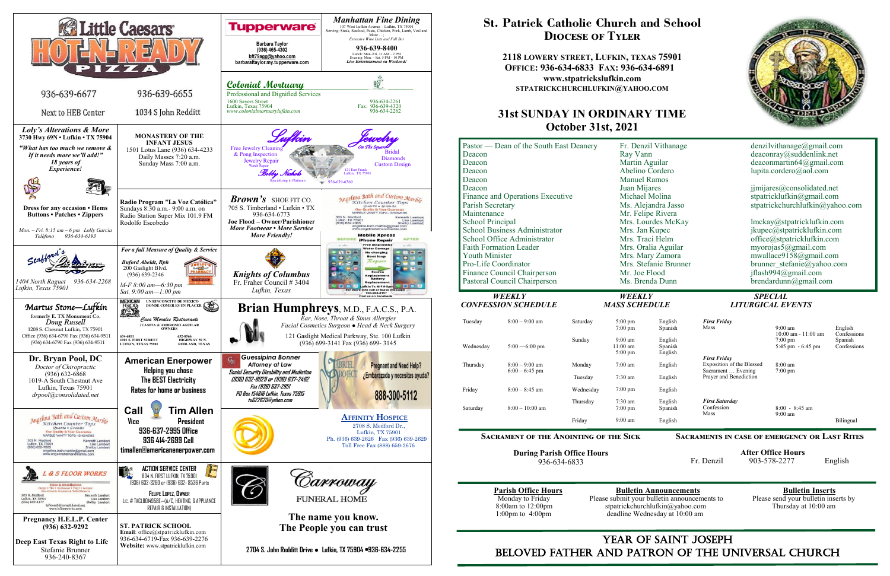

## YEAR OF SAINT JOSEPH beloved father AND Patron of the Universal Church

# **St. Patrick Catholic Church and School Diocese of Tyler**

**2118 LOWERY STREET, LUFKIN, TEXAS 75901 OFFICE: 936-634-6833 FAX: 936-634-6891 www.stpatrickslufkin.com STPATRICKCHURCHLUFKIN@YAHOO.COM**

## **31st SUNDAY IN ORDINARY TIME October 31st, 2021**

| Pastor — Dean of the South East Deanery<br>Deacon<br>Deacon<br>Deacon<br>Deacon |                                                             |           | Fr. Denzil Vithanage<br>Ray Vann<br>Martin Aguilar<br>Abelino Cordero<br><b>Manuel Ramos</b> |                               | denzilvithanage@gmail.com<br>deaconray@suddenlink.net<br>deaconmartin $64@g$ mail.com<br>lupita.cordero@aol.com |                                                                   |                                       |
|---------------------------------------------------------------------------------|-------------------------------------------------------------|-----------|----------------------------------------------------------------------------------------------|-------------------------------|-----------------------------------------------------------------------------------------------------------------|-------------------------------------------------------------------|---------------------------------------|
| Deacon                                                                          |                                                             |           | Juan Mijares                                                                                 |                               | jjmijares@consolidated.net                                                                                      |                                                                   |                                       |
| Finance and Operations Executive                                                |                                                             |           | Michael Molina                                                                               |                               | stpatricklufkin@gmail.com                                                                                       |                                                                   |                                       |
| Parish Secretary                                                                |                                                             |           | Ms. Alejandra Jasso                                                                          |                               | stpatrickchurchlufkin@yahoo.com                                                                                 |                                                                   |                                       |
| Maintenance                                                                     |                                                             |           | Mr. Felipe Rivera                                                                            |                               |                                                                                                                 |                                                                   |                                       |
| School Principal                                                                |                                                             |           | Mrs. Lourdes McKay                                                                           |                               | lmckay@stpatricklufkin.com                                                                                      |                                                                   |                                       |
| <b>School Business Administrator</b>                                            |                                                             |           | Mrs. Jan Kupec                                                                               |                               | jkupec@stpatricklufkin.com                                                                                      |                                                                   |                                       |
|                                                                                 | School Office Administrator                                 |           | Mrs. Traci Helm                                                                              |                               | office@stpatricklufkin.com                                                                                      |                                                                   |                                       |
|                                                                                 | <b>Faith Formation Leader</b>                               |           | Mrs. Oralia Aguilar                                                                          |                               | myorojas5@gmail.com                                                                                             |                                                                   |                                       |
| <b>Youth Minister</b>                                                           |                                                             |           | Mrs. Mary Zamora                                                                             |                               | mwallace9158@gmail.com                                                                                          |                                                                   |                                       |
| Pro-Life Coordinator                                                            |                                                             |           | Mrs. Stefanie Brunner                                                                        |                               | brunner stefanie@yahoo.com                                                                                      |                                                                   |                                       |
|                                                                                 | Finance Council Chairperson<br>Pastoral Council Chairperson |           | Mr. Joe Flood<br>Ms. Brenda Dunn                                                             |                               | jflash994@gmail.com<br>brendardunn@gmail.com                                                                    |                                                                   |                                       |
|                                                                                 |                                                             |           |                                                                                              |                               |                                                                                                                 |                                                                   |                                       |
|                                                                                 |                                                             |           |                                                                                              |                               |                                                                                                                 |                                                                   |                                       |
|                                                                                 | <b>WEEKLY</b><br><b>CONFESSION SCHEDULE</b>                 |           | <b>WEEKLY</b><br><b>MASS SCHEDULE</b>                                                        |                               |                                                                                                                 | <b>SPECIAL</b><br><b>LITURGICAL EVENTS</b>                        |                                       |
| Tuesday                                                                         | $8:00 - 9:00$ am                                            | Saturday  | $5:00$ pm<br>$7:00$ pm                                                                       | English<br>Spanish            | <b>First Friday</b><br>Mass                                                                                     | $9:00 \text{ am}$                                                 | English                               |
| Wednesday                                                                       | $5:00 - 6:00$ pm                                            | Sunday    | $9:00$ am<br>$11:00$ am<br>$5:00 \text{ pm}$                                                 | English<br>Spanish<br>English |                                                                                                                 | $10:00$ am - $11:00$ am<br>$7:00 \text{ pm}$<br>5:45 pm - 6:45 pm | Confessions<br>Spanish<br>Confessions |
| Thursday                                                                        | $8:00 - 9:00$ am                                            | Monday    | $7:00$ am                                                                                    | English                       | <b>First Friday</b><br>Exposition of the Blessed<br>Sacrament  Evening                                          | $8:00$ am                                                         |                                       |
|                                                                                 | $6:00 - 6:45$ pm                                            | Tuesday   | $7:30$ am                                                                                    | English                       | Prayer and Benediction                                                                                          | $7:00 \text{ pm}$                                                 |                                       |
| Friday                                                                          | $8:00 - 8:45$ am                                            | Wednesday | 7:00 pm                                                                                      | English                       |                                                                                                                 |                                                                   |                                       |
| Saturday                                                                        | $8:00 - 10:00$ am                                           | Thursday  | 7:30 am<br>$7:00 \text{ pm}$                                                                 | English<br>Spanish            | <b>First Saturday</b><br>Confession                                                                             | $8:00 - 8:45$ am                                                  |                                       |
|                                                                                 |                                                             | Friday    | $9:00$ am                                                                                    | English                       | Mass                                                                                                            | $9:00 \text{ am}$                                                 | Bilingual                             |

**Sacrament of the Anointing of the Sick**

**During Parish Office Hours**  936-634-6833

**Parish Office Hours**<br>Monday to Friday **Please submit your bulletin announcements** to Please send your bulletin inserts by Monday to Friday Please submit your bulletin announcements to Please send your bulletin inserts by Please send your bulletin inserts by Please send your bulletin inserts by the S1000 am strategies of the strategies of the 8:00am to 12:00pm stpatrickchurchlufkin@yahoo.com<br>1:00pm to 4:00pm deadline Wednesday at 10:00 am deadline Wednesday at 10:00 am



| English<br>Spanish            | <b>First Friday</b><br>Mass                                            | $9:00 \text{ am}$                                                  | English                               |
|-------------------------------|------------------------------------------------------------------------|--------------------------------------------------------------------|---------------------------------------|
| English<br>Spanish<br>English |                                                                        | $10:00$ am - $11:00$ am<br>$7:00 \text{ pm}$<br>5:45 pm $-6:45$ pm | Confessions<br>Spanish<br>Confessions |
| English                       | <b>First Friday</b><br>Exposition of the Blessed<br>Sacrament  Evening | $8:00 \text{ am}$<br>$7:00 \text{ pm}$                             |                                       |
| English                       | Prayer and Benediction                                                 |                                                                    |                                       |
| English                       |                                                                        |                                                                    |                                       |
| English<br>Spanish            | <b>First Saturday</b><br>Confession<br>Mass                            | $8:00 - 8:45$ am<br>$9:00 \text{ am}$                              |                                       |
| English                       |                                                                        |                                                                    | Bilingual                             |
|                               |                                                                        |                                                                    |                                       |

**Sacraments in case of emergency or Last Rites** 

 **After Office Hours**  Fr. Denzil 903-578-2277 English